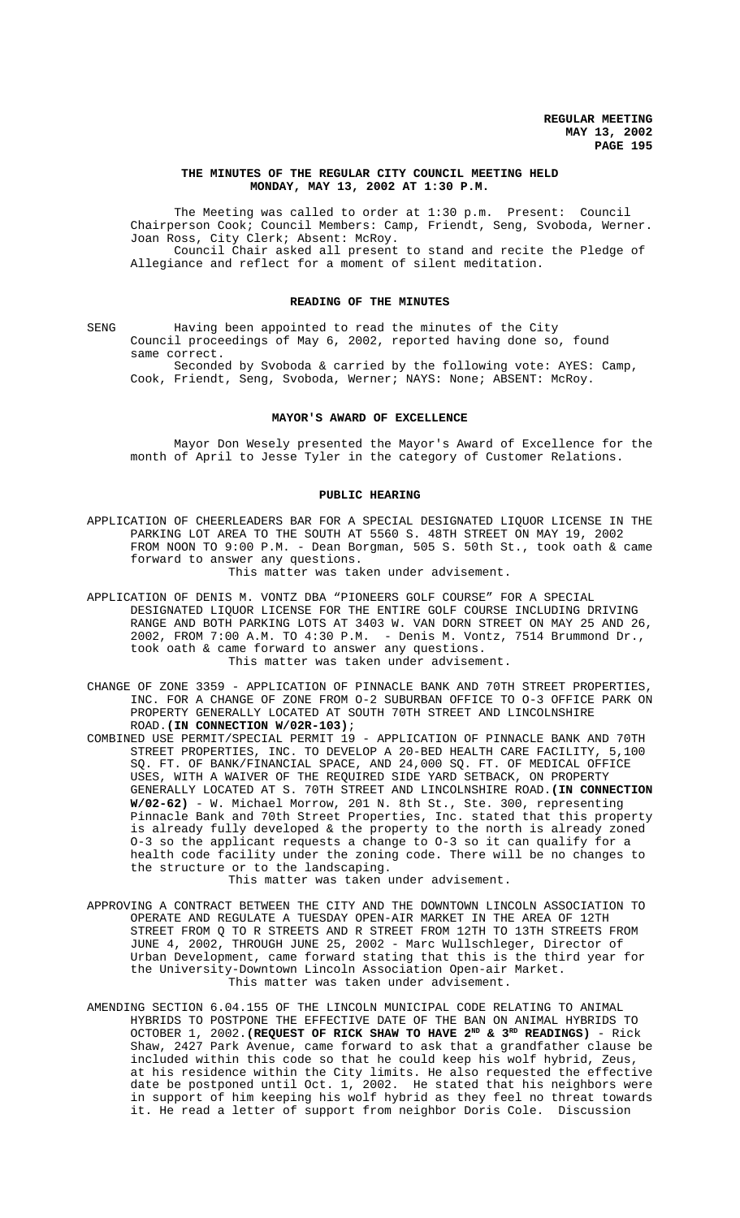### **THE MINUTES OF THE REGULAR CITY COUNCIL MEETING HELD MONDAY, MAY 13, 2002 AT 1:30 P.M.**

The Meeting was called to order at 1:30 p.m. Present: Council Chairperson Cook; Council Members: Camp, Friendt, Seng, Svoboda, Werner. Joan Ross, City Clerk; Absent: McRoy. Council Chair asked all present to stand and recite the Pledge of Allegiance and reflect for a moment of silent meditation.

#### **READING OF THE MINUTES**

SENG Having been appointed to read the minutes of the City Council proceedings of May 6, 2002, reported having done so, found same correct.

Seconded by Svoboda & carried by the following vote: AYES: Camp, Cook, Friendt, Seng, Svoboda, Werner; NAYS: None; ABSENT: McRoy.

### **MAYOR'S AWARD OF EXCELLENCE**

Mayor Don Wesely presented the Mayor's Award of Excellence for the month of April to Jesse Tyler in the category of Customer Relations.

### **PUBLIC HEARING**

APPLICATION OF CHEERLEADERS BAR FOR A SPECIAL DESIGNATED LIQUOR LICENSE IN THE PARKING LOT AREA TO THE SOUTH AT 5560 S. 48TH STREET ON MAY 19, 2002 FROM NOON TO 9:00 P.M. - Dean Borgman, 505 S. 50th St., took oath & came forward to answer any questions.

This matter was taken under advisement.

- APPLICATION OF DENIS M. VONTZ DBA "PIONEERS GOLF COURSE" FOR A SPECIAL DESIGNATED LIQUOR LICENSE FOR THE ENTIRE GOLF COURSE INCLUDING DRIVING RANGE AND BOTH PARKING LOTS AT 3403 W. VAN DORN STREET ON MAY 25 AND 26, 2002, FROM 7:00 A.M. TO 4:30 P.M. - Denis M. Vontz, 7514 Brummond Dr., took oath & came forward to answer any questions. This matter was taken under advisement.
- CHANGE OF ZONE 3359 APPLICATION OF PINNACLE BANK AND 70TH STREET PROPERTIES, INC. FOR A CHANGE OF ZONE FROM O-2 SUBURBAN OFFICE TO O-3 OFFICE PARK ON PROPERTY GENERALLY LOCATED AT SOUTH 70TH STREET AND LINCOLNSHIRE ROAD.**(IN CONNECTION W/02R-103)**;
- COMBINED USE PERMIT/SPECIAL PERMIT 19 APPLICATION OF PINNACLE BANK AND 70TH STREET PROPERTIES, INC. TO DEVELOP A 20-BED HEALTH CARE FACILITY, 5,100 SQ. FT. OF BANK/FINANCIAL SPACE, AND 24,000 SQ. FT. OF MEDICAL OFFICE USES, WITH A WAIVER OF THE REQUIRED SIDE YARD SETBACK, ON PROPERTY GENERALLY LOCATED AT S. 70TH STREET AND LINCOLNSHIRE ROAD.**(IN CONNECTION W/02-62)** - W. Michael Morrow, 201 N. 8th St., Ste. 300, representing Pinnacle Bank and 70th Street Properties, Inc. stated that this property is already fully developed & the property to the north is already zoned O-3 so the applicant requests a change to O-3 so it can qualify for a health code facility under the zoning code. There will be no changes to the structure or to the landscaping.

### This matter was taken under advisement.

- APPROVING A CONTRACT BETWEEN THE CITY AND THE DOWNTOWN LINCOLN ASSOCIATION TO OPERATE AND REGULATE A TUESDAY OPEN-AIR MARKET IN THE AREA OF 12TH STREET FROM Q TO R STREETS AND R STREET FROM 12TH TO 13TH STREETS FROM JUNE 4, 2002, THROUGH JUNE 25, 2002 - Marc Wullschleger, Director of Urban Development, came forward stating that this is the third year for the University-Downtown Lincoln Association Open-air Market. This matter was taken under advisement.
- AMENDING SECTION 6.04.155 OF THE LINCOLN MUNICIPAL CODE RELATING TO ANIMAL HYBRIDS TO POSTPONE THE EFFECTIVE DATE OF THE BAN ON ANIMAL HYBRIDS TO OCTOBER 1, 2002.**(REQUEST OF RICK SHAW TO HAVE 2ND & 3RD READINGS)** - Rick Shaw, 2427 Park Avenue, came forward to ask that a grandfather clause be included within this code so that he could keep his wolf hybrid, Zeus, at his residence within the City limits. He also requested the effective date be postponed until Oct. 1, 2002. He stated that his neighbors were in support of him keeping his wolf hybrid as they feel no threat towards it. He read a letter of support from neighbor Doris Cole. Discussion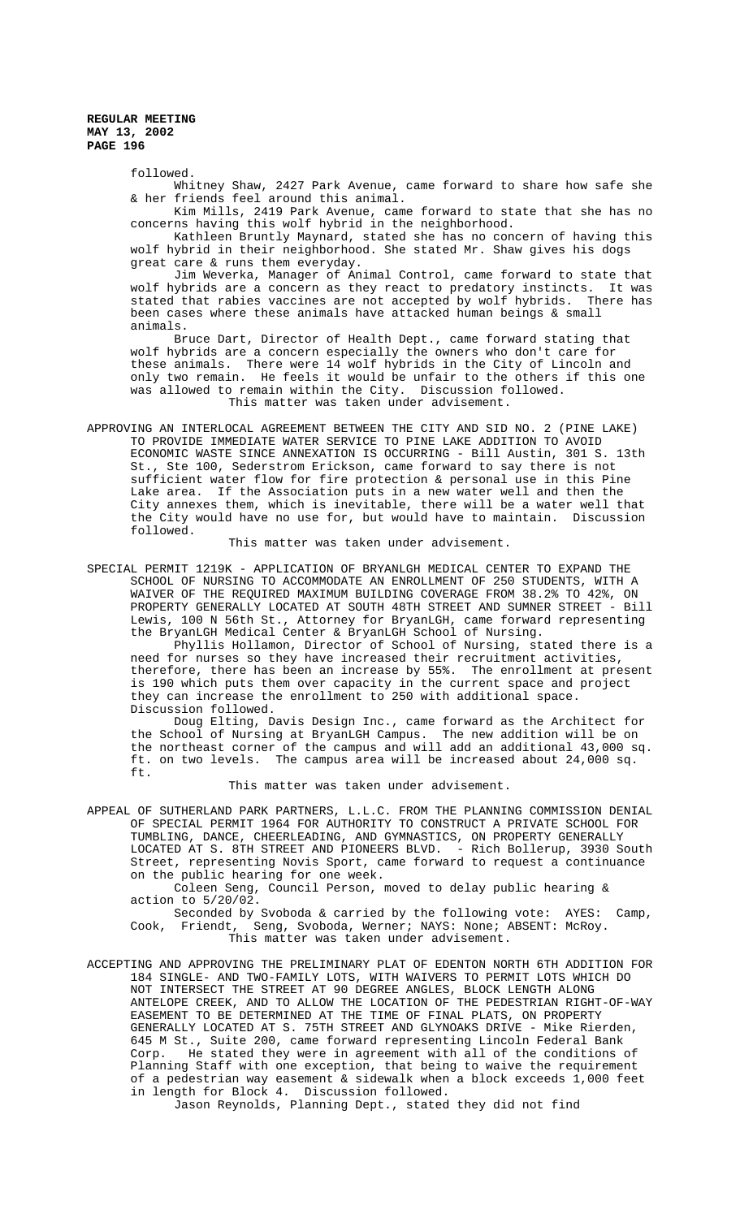followed.

Whitney Shaw, 2427 Park Avenue, came forward to share how safe she & her friends feel around this animal.

Kim Mills, 2419 Park Avenue, came forward to state that she has no concerns having this wolf hybrid in the neighborhood.

Kathleen Bruntly Maynard, stated she has no concern of having this wolf hybrid in their neighborhood. She stated Mr. Shaw gives his dogs great care & runs them everyday.

Jim Weverka, Manager of Animal Control, came forward to state that wolf hybrids are a concern as they react to predatory instincts. It was stated that rabies vaccines are not accepted by wolf hybrids. There has been cases where these animals have attacked human beings & small animals.

Bruce Dart, Director of Health Dept., came forward stating that wolf hybrids are a concern especially the owners who don't care for these animals. There were 14 wolf hybrids in the City of Lincoln and only two remain. He feels it would be unfair to the others if this one was allowed to remain within the City. Discussion followed. This matter was taken under advisement.

APPROVING AN INTERLOCAL AGREEMENT BETWEEN THE CITY AND SID NO. 2 (PINE LAKE) TO PROVIDE IMMEDIATE WATER SERVICE TO PINE LAKE ADDITION TO AVOID ECONOMIC WASTE SINCE ANNEXATION IS OCCURRING - Bill Austin, 301 S. 13th St., Ste 100, Sederstrom Erickson, came forward to say there is not sufficient water flow for fire protection & personal use in this Pine Lake area. If the Association puts in a new water well and then the City annexes them, which is inevitable, there will be a water well that the City would have no use for, but would have to maintain. Discussion followed.

This matter was taken under advisement.

SPECIAL PERMIT 1219K - APPLICATION OF BRYANLGH MEDICAL CENTER TO EXPAND THE SCHOOL OF NURSING TO ACCOMMODATE AN ENROLLMENT OF 250 STUDENTS, WITH A WAIVER OF THE REQUIRED MAXIMUM BUILDING COVERAGE FROM 38.2% TO 42%, ON PROPERTY GENERALLY LOCATED AT SOUTH 48TH STREET AND SUMNER STREET - Bill Lewis, 100 N 56th St., Attorney for BryanLGH, came forward representing the BryanLGH Medical Center & BryanLGH School of Nursing.

Phyllis Hollamon, Director of School of Nursing, stated there is a need for nurses so they have increased their recruitment activities, therefore, there has been an increase by 55%. The enrollment at present is 190 which puts them over capacity in the current space and project they can increase the enrollment to 250 with additional space. Discussion followed.

Doug Elting, Davis Design Inc., came forward as the Architect for the School of Nursing at BryanLGH Campus. The new addition will be on the northeast corner of the campus and will add an additional 43,000 sq. ft. on two levels. The campus area will be increased about 24,000 sq. ft.

This matter was taken under advisement.

APPEAL OF SUTHERLAND PARK PARTNERS, L.L.C. FROM THE PLANNING COMMISSION DENIAL OF SPECIAL PERMIT 1964 FOR AUTHORITY TO CONSTRUCT A PRIVATE SCHOOL FOR TUMBLING, DANCE, CHEERLEADING, AND GYMNASTICS, ON PROPERTY GENERALLY LOCATED AT S. 8TH STREET AND PIONEERS BLVD. - Rich Bollerup, 3930 South Street, representing Novis Sport, came forward to request a continuance on the public hearing for one week.

Coleen Seng, Council Person, moved to delay public hearing & action to 5/20/02.

Seconded by Svoboda & carried by the following vote: AYES: Camp, Cook, Friendt, Seng, Svoboda, Werner; NAYS: None; ABSENT: McRoy. This matter was taken under advisement.

ACCEPTING AND APPROVING THE PRELIMINARY PLAT OF EDENTON NORTH 6TH ADDITION FOR 184 SINGLE- AND TWO-FAMILY LOTS, WITH WAIVERS TO PERMIT LOTS WHICH DO NOT INTERSECT THE STREET AT 90 DEGREE ANGLES, BLOCK LENGTH ALONG ANTELOPE CREEK, AND TO ALLOW THE LOCATION OF THE PEDESTRIAN RIGHT-OF-WAY EASEMENT TO BE DETERMINED AT THE TIME OF FINAL PLATS, ON PROPERTY GENERALLY LOCATED AT S. 75TH STREET AND GLYNOAKS DRIVE - Mike Rierden, 645 M St., Suite 200, came forward representing Lincoln Federal Bank Corp. He stated they were in agreement with all of the conditions of Planning Staff with one exception, that being to waive the requirement of a pedestrian way easement & sidewalk when a block exceeds 1,000 feet in length for Block 4. Discussion followed.

Jason Reynolds, Planning Dept., stated they did not find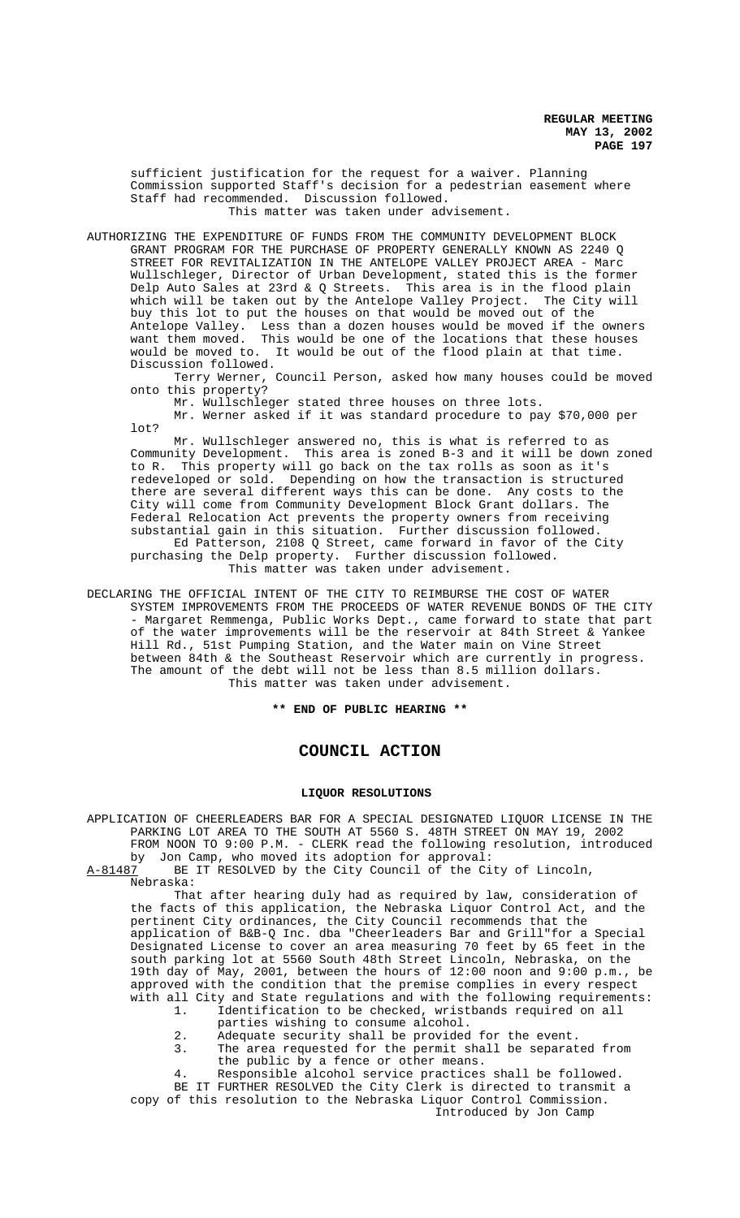sufficient justification for the request for a waiver. Planning Commission supported Staff's decision for a pedestrian easement where Staff had recommended. Discussion followed. This matter was taken under advisement.

AUTHORIZING THE EXPENDITURE OF FUNDS FROM THE COMMUNITY DEVELOPMENT BLOCK GRANT PROGRAM FOR THE PURCHASE OF PROPERTY GENERALLY KNOWN AS 2240 Q STREET FOR REVITALIZATION IN THE ANTELOPE VALLEY PROJECT AREA - Marc Wullschleger, Director of Urban Development, stated this is the former Delp Auto Sales at 23rd & Q Streets. This area is in the flood plain which will be taken out by the Antelope Valley Project. The City will buy this lot to put the houses on that would be moved out of the Antelope Valley. Less than a dozen houses would be moved if the owners want them moved. This would be one of the locations that these houses would be moved to. It would be out of the flood plain at that time. Discussion followed.

Terry Werner, Council Person, asked how many houses could be moved onto this property?

Mr. Wullschleger stated three houses on three lots.

Mr. Werner asked if it was standard procedure to pay \$70,000 per lot?

Mr. Wullschleger answered no, this is what is referred to as Community Development. This area is zoned B-3 and it will be down zoned to R. This property will go back on the tax rolls as soon as it's redeveloped or sold. Depending on how the transaction is structured there are several different ways this can be done. Any costs to the City will come from Community Development Block Grant dollars. The Federal Relocation Act prevents the property owners from receiving substantial gain in this situation. Further discussion followed. Ed Patterson, 2108 Q Street, came forward in favor of the City purchasing the Delp property. Further discussion followed. This matter was taken under advisement.

DECLARING THE OFFICIAL INTENT OF THE CITY TO REIMBURSE THE COST OF WATER SYSTEM IMPROVEMENTS FROM THE PROCEEDS OF WATER REVENUE BONDS OF THE CITY - Margaret Remmenga, Public Works Dept., came forward to state that part of the water improvements will be the reservoir at 84th Street & Yankee Hill Rd., 51st Pumping Station, and the Water main on Vine Street between 84th & the Southeast Reservoir which are currently in progress. The amount of the debt will not be less than 8.5 million dollars. This matter was taken under advisement.

**\*\* END OF PUBLIC HEARING \*\***

# **COUNCIL ACTION**

#### **LIQUOR RESOLUTIONS**

APPLICATION OF CHEERLEADERS BAR FOR A SPECIAL DESIGNATED LIQUOR LICENSE IN THE PARKING LOT AREA TO THE SOUTH AT 5560 S. 48TH STREET ON MAY 19, 2002 FROM NOON TO 9:00 P.M. - CLERK read the following resolution, introduced by Jon Camp, who moved its adoption for approval:<br>A-81487 BE IT RESOLVED by the City Council of the Ci

BE IT RESOLVED by the City Council of the City of Lincoln,

Nebraska:

That after hearing duly had as required by law, consideration of the facts of this application, the Nebraska Liquor Control Act, and the pertinent City ordinances, the City Council recommends that the application of B&B-Q Inc. dba "Cheerleaders Bar and Grill"for a Special Designated License to cover an area measuring 70 feet by 65 feet in the south parking lot at 5560 South 48th Street Lincoln, Nebraska, on the 19th day of May, 2001, between the hours of 12:00 noon and 9:00 p.m., be approved with the condition that the premise complies in every respect with all City and State regulations and with the following requirements:<br>1. Identification to be checked, wristbands required on all

- Identification to be checked, wristbands required on all parties wishing to consume alcohol.
	- 2. Adequate security shall be provided for the event.<br>3. The area requested for the permit shall be separat
		- The area requested for the permit shall be separated from the public by a fence or other means.

4. Responsible alcohol service practices shall be followed. BE IT FURTHER RESOLVED the City Clerk is directed to transmit a copy of this resolution to the Nebraska Liquor Control Commission.

Introduced by Jon Camp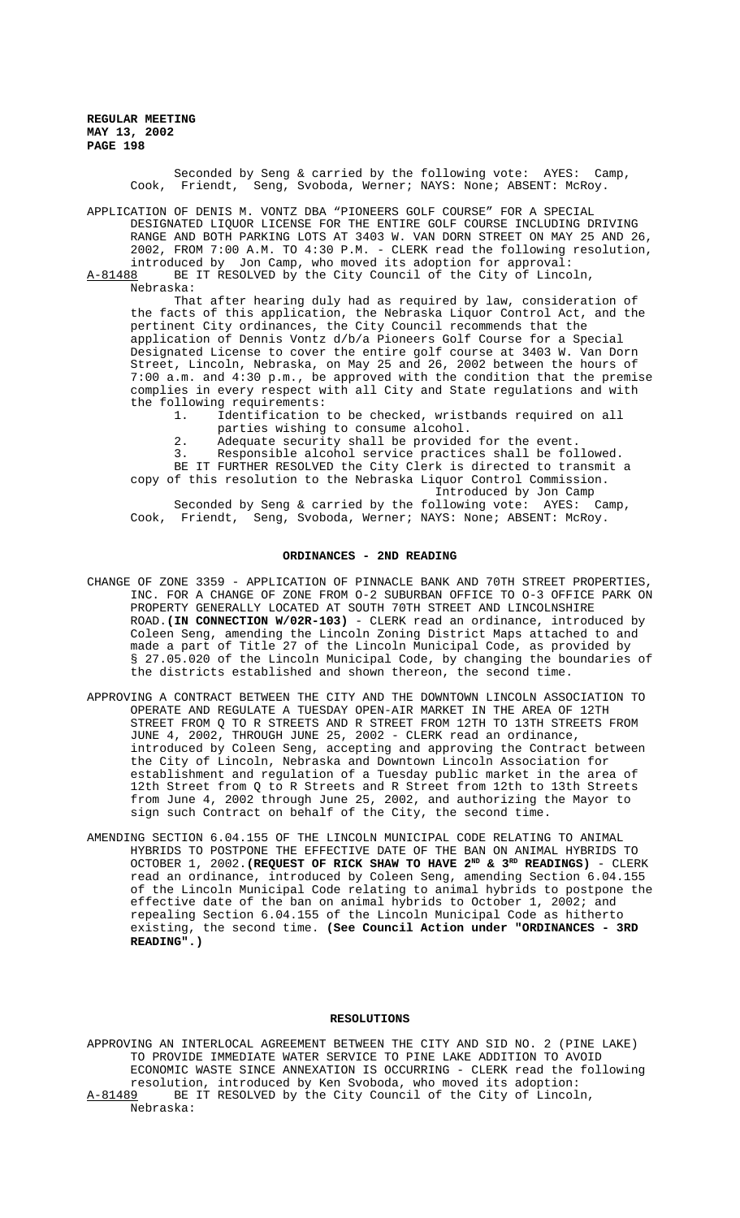> Seconded by Seng & carried by the following vote: AYES: Camp, Cook, Friendt, Seng, Svoboda, Werner; NAYS: None; ABSENT: McRoy.

APPLICATION OF DENIS M. VONTZ DBA "PIONEERS GOLF COURSE" FOR A SPECIAL DESIGNATED LIQUOR LICENSE FOR THE ENTIRE GOLF COURSE INCLUDING DRIVING RANGE AND BOTH PARKING LOTS AT 3403 W. VAN DORN STREET ON MAY 25 AND 26, 2002, FROM 7:00 A.M. TO 4:30 P.M. - CLERK read the following resolution, introduced by Jon Camp, who moved its adoption for approval:

A-81488 BE IT RESOLVED by the City Council of the City of Lincoln, Nebraska:

That after hearing duly had as required by law, consideration of the facts of this application, the Nebraska Liquor Control Act, and the pertinent City ordinances, the City Council recommends that the application of Dennis Vontz d/b/a Pioneers Golf Course for a Special Designated License to cover the entire golf course at 3403 W. Van Dorn Street, Lincoln, Nebraska, on May 25 and 26, 2002 between the hours of 7:00 a.m. and 4:30 p.m., be approved with the condition that the premise complies in every respect with all City and State regulations and with the following requirements:

1. Identification to be checked, wristbands required on all parties wishing to consume alcohol.

2. Adequate security shall be provided for the event.

3. Responsible alcohol service practices shall be followed. BE IT FURTHER RESOLVED the City Clerk is directed to transmit a

copy of this resolution to the Nebraska Liquor Control Commission. Introduced by Jon Camp Seconded by Seng & carried by the following vote: AYES: Camp,

Cook, Friendt, Seng, Svoboda, Werner; NAYS: None; ABSENT: McRoy.

#### **ORDINANCES - 2ND READING**

- CHANGE OF ZONE 3359 APPLICATION OF PINNACLE BANK AND 70TH STREET PROPERTIES, INC. FOR A CHANGE OF ZONE FROM O-2 SUBURBAN OFFICE TO O-3 OFFICE PARK ON PROPERTY GENERALLY LOCATED AT SOUTH 70TH STREET AND LINCOLNSHIRE ROAD.**(IN CONNECTION W/02R-103)** - CLERK read an ordinance, introduced by Coleen Seng, amending the Lincoln Zoning District Maps attached to and made a part of Title 27 of the Lincoln Municipal Code, as provided by § 27.05.020 of the Lincoln Municipal Code, by changing the boundaries of the districts established and shown thereon, the second time.
- APPROVING A CONTRACT BETWEEN THE CITY AND THE DOWNTOWN LINCOLN ASSOCIATION TO OPERATE AND REGULATE A TUESDAY OPEN-AIR MARKET IN THE AREA OF 12TH STREET FROM Q TO R STREETS AND R STREET FROM 12TH TO 13TH STREETS FROM JUNE 4, 2002, THROUGH JUNE 25, 2002 - CLERK read an ordinance, introduced by Coleen Seng, accepting and approving the Contract between the City of Lincoln, Nebraska and Downtown Lincoln Association for establishment and regulation of a Tuesday public market in the area of 12th Street from Q to R Streets and R Street from 12th to 13th Streets from June 4, 2002 through June 25, 2002, and authorizing the Mayor to sign such Contract on behalf of the City, the second time.
- AMENDING SECTION 6.04.155 OF THE LINCOLN MUNICIPAL CODE RELATING TO ANIMAL HYBRIDS TO POSTPONE THE EFFECTIVE DATE OF THE BAN ON ANIMAL HYBRIDS TO OCTOBER 1, 2002. (REQUEST OF RICK SHAW TO HAVE 2<sup>ND</sup> & 3<sup>RD</sup> READINGS) - CLERK read an ordinance, introduced by Coleen Seng, amending Section 6.04.155 of the Lincoln Municipal Code relating to animal hybrids to postpone the effective date of the ban on animal hybrids to October 1, 2002; and repealing Section 6.04.155 of the Lincoln Municipal Code as hitherto existing, the second time. **(See Council Action under "ORDINANCES - 3RD READING".)**

## **RESOLUTIONS**

APPROVING AN INTERLOCAL AGREEMENT BETWEEN THE CITY AND SID NO. 2 (PINE LAKE) TO PROVIDE IMMEDIATE WATER SERVICE TO PINE LAKE ADDITION TO AVOID ECONOMIC WASTE SINCE ANNEXATION IS OCCURRING - CLERK read the following resolution, introduced by Ken Svoboda, who moved its adoption: A-81489 BE IT RESOLVED by the City Council of the City of Lincoln, Nebraska: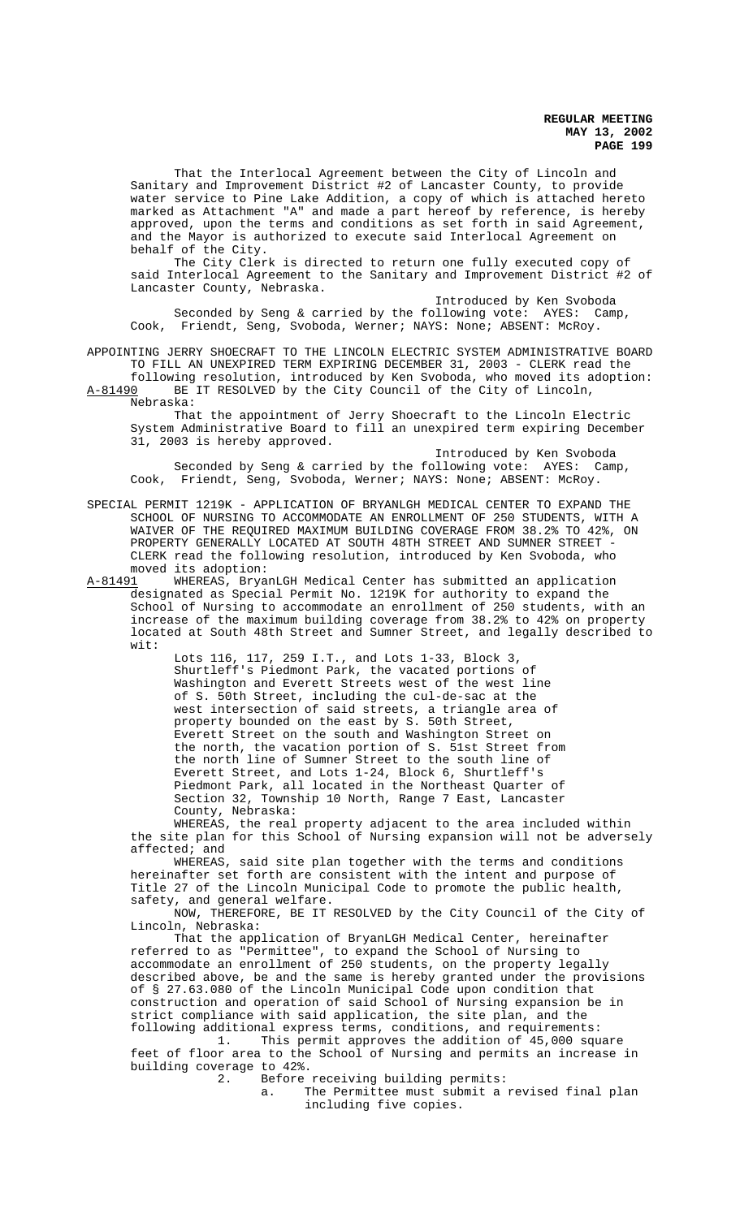That the Interlocal Agreement between the City of Lincoln and Sanitary and Improvement District #2 of Lancaster County, to provide water service to Pine Lake Addition, a copy of which is attached hereto marked as Attachment "A" and made a part hereof by reference, is hereby approved, upon the terms and conditions as set forth in said Agreement, and the Mayor is authorized to execute said Interlocal Agreement on behalf of the City.

The City Clerk is directed to return one fully executed copy of said Interlocal Agreement to the Sanitary and Improvement District #2 of Lancaster County, Nebraska.

Introduced by Ken Svoboda Seconded by Seng & carried by the following vote: AYES: Camp, Cook, Friendt, Seng, Svoboda, Werner; NAYS: None; ABSENT: McRoy.

APPOINTING JERRY SHOECRAFT TO THE LINCOLN ELECTRIC SYSTEM ADMINISTRATIVE BOARD TO FILL AN UNEXPIRED TERM EXPIRING DECEMBER 31, 2003 - CLERK read the

following resolution, introduced by Ken Svoboda, who moved its adoption: A-81490 BE IT RESOLVED by the City Council of the City of Lincoln, Nebraska:

That the appointment of Jerry Shoecraft to the Lincoln Electric System Administrative Board to fill an unexpired term expiring December 31, 2003 is hereby approved.

Introduced by Ken Svoboda Seconded by Seng & carried by the following vote: AYES: Camp, Cook, Friendt, Seng, Svoboda, Werner; NAYS: None; ABSENT: McRoy.

SPECIAL PERMIT 1219K - APPLICATION OF BRYANLGH MEDICAL CENTER TO EXPAND THE SCHOOL OF NURSING TO ACCOMMODATE AN ENROLLMENT OF 250 STUDENTS, WITH A WAIVER OF THE REQUIRED MAXIMUM BUILDING COVERAGE FROM 38.2% TO 42%, ON PROPERTY GENERALLY LOCATED AT SOUTH 48TH STREET AND SUMNER STREET CLERK read the following resolution, introduced by Ken Svoboda, who moved its adoption:<br>A-81491 WHEREAS, Brya

WHEREAS, BryanLGH Medical Center has submitted an application designated as Special Permit No. 1219K for authority to expand the School of Nursing to accommodate an enrollment of 250 students, with an increase of the maximum building coverage from 38.2% to 42% on property located at South 48th Street and Sumner Street, and legally described to wit:

> Lots 116, 117, 259 I.T., and Lots 1-33, Block 3, Shurtleff's Piedmont Park, the vacated portions of Washington and Everett Streets west of the west line of S. 50th Street, including the cul-de-sac at the west intersection of said streets, a triangle area of property bounded on the east by S. 50th Street, Everett Street on the south and Washington Street on the north, the vacation portion of S. 51st Street from the north line of Sumner Street to the south line of Everett Street, and Lots 1-24, Block 6, Shurtleff's Piedmont Park, all located in the Northeast Quarter of Section 32, Township 10 North, Range 7 East, Lancaster County, Nebraska:

WHEREAS, the real property adjacent to the area included within the site plan for this School of Nursing expansion will not be adversely affected; and

WHEREAS, said site plan together with the terms and conditions hereinafter set forth are consistent with the intent and purpose of Title 27 of the Lincoln Municipal Code to promote the public health, safety, and general welfare.

NOW, THEREFORE, BE IT RESOLVED by the City Council of the City of Lincoln, Nebraska:

That the application of BryanLGH Medical Center, hereinafter referred to as "Permittee", to expand the School of Nursing to accommodate an enrollment of 250 students, on the property legally described above, be and the same is hereby granted under the provisions of § 27.63.080 of the Lincoln Municipal Code upon condition that construction and operation of said School of Nursing expansion be in strict compliance with said application, the site plan, and the following additional express terms, conditions, and requirements:

1. This permit approves the addition of 45,000 square feet of floor area to the School of Nursing and permits an increase in building coverage to 42%.

2. Before receiving building permits:

a. The Permittee must submit a revised final plan including five copies.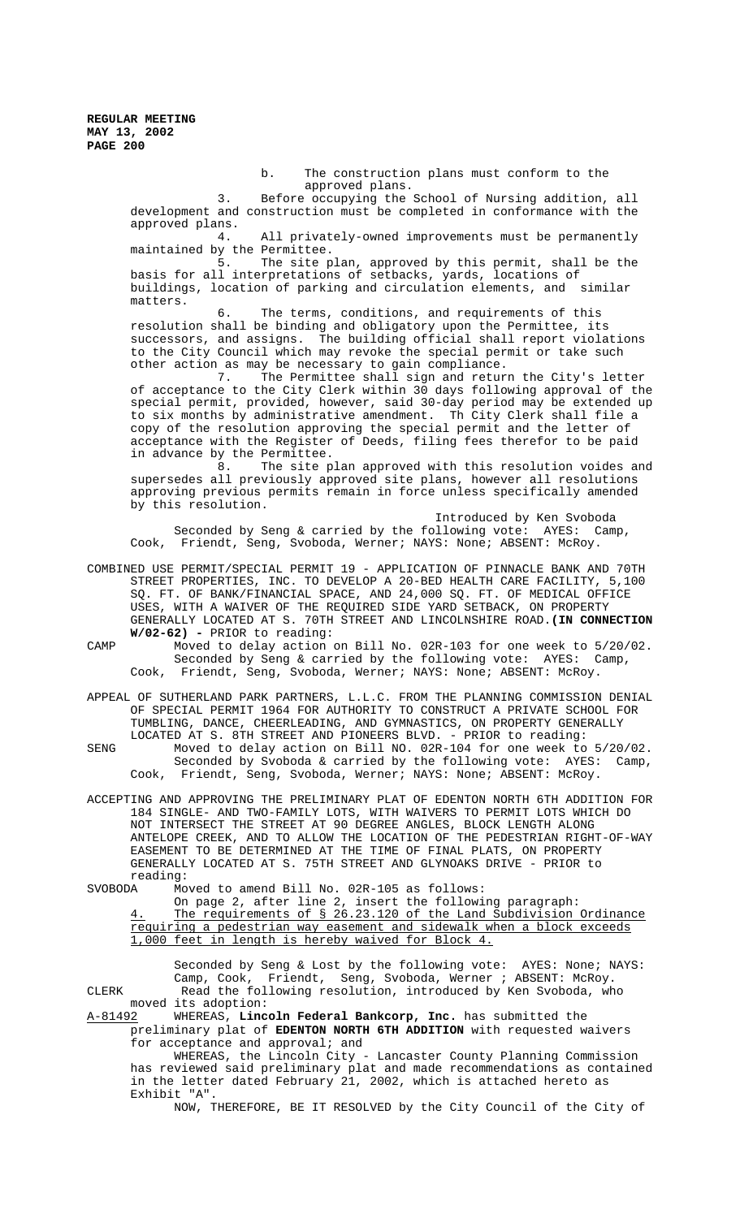> b. The construction plans must conform to the approved plans.

3. Before occupying the School of Nursing addition, all development and construction must be completed in conformance with the approved plans.

4. All privately-owned improvements must be permanently maintained by the Permittee.

5. The site plan, approved by this permit, shall be the basis for all interpretations of setbacks, yards, locations of buildings, location of parking and circulation elements, and similar matters.

6. The terms, conditions, and requirements of this resolution shall be binding and obligatory upon the Permittee, its successors, and assigns. The building official shall report violations to the City Council which may revoke the special permit or take such other action as may be necessary to gain compliance.

7. The Permittee shall sign and return the City's letter of acceptance to the City Clerk within 30 days following approval of the special permit, provided, however, said 30-day period may be extended up to six months by administrative amendment. Th City Clerk shall file a copy of the resolution approving the special permit and the letter of acceptance with the Register of Deeds, filing fees therefor to be paid in advance by the Permittee.

8. The site plan approved with this resolution voides and supersedes all previously approved site plans, however all resolutions approving previous permits remain in force unless specifically amended by this resolution.

Introduced by Ken Svoboda Seconded by Seng & carried by the following vote: AYES: Camp, Cook, Friendt, Seng, Svoboda, Werner; NAYS: None; ABSENT: McRoy.

COMBINED USE PERMIT/SPECIAL PERMIT 19 - APPLICATION OF PINNACLE BANK AND 70TH STREET PROPERTIES, INC. TO DEVELOP A 20-BED HEALTH CARE FACILITY, 5,100 SQ. FT. OF BANK/FINANCIAL SPACE, AND 24,000 SQ. FT. OF MEDICAL OFFICE USES, WITH A WAIVER OF THE REQUIRED SIDE YARD SETBACK, ON PROPERTY GENERALLY LOCATED AT S. 70TH STREET AND LINCOLNSHIRE ROAD.**(IN CONNECTION W/02-62) -** PRIOR to reading:

CAMP Moved to delay action on Bill No. 02R-103 for one week to 5/20/02. Seconded by Seng & carried by the following vote: AYES: Camp, Cook, Friendt, Seng, Svoboda, Werner; NAYS: None; ABSENT: McRoy.

APPEAL OF SUTHERLAND PARK PARTNERS, L.L.C. FROM THE PLANNING COMMISSION DENIAL OF SPECIAL PERMIT 1964 FOR AUTHORITY TO CONSTRUCT A PRIVATE SCHOOL FOR TUMBLING, DANCE, CHEERLEADING, AND GYMNASTICS, ON PROPERTY GENERALLY LOCATED AT S. 8TH STREET AND PIONEERS BLVD. - PRIOR to reading:

SENG Moved to delay action on Bill NO. 02R-104 for one week to 5/20/02. Seconded by Svoboda & carried by the following vote: AYES: Camp, Cook, Friendt, Seng, Svoboda, Werner; NAYS: None; ABSENT: McRoy.

ACCEPTING AND APPROVING THE PRELIMINARY PLAT OF EDENTON NORTH 6TH ADDITION FOR 184 SINGLE- AND TWO-FAMILY LOTS, WITH WAIVERS TO PERMIT LOTS WHICH DO NOT INTERSECT THE STREET AT 90 DEGREE ANGLES, BLOCK LENGTH ALONG ANTELOPE CREEK, AND TO ALLOW THE LOCATION OF THE PEDESTRIAN RIGHT-OF-WAY EASEMENT TO BE DETERMINED AT THE TIME OF FINAL PLATS, ON PROPERTY GENERALLY LOCATED AT S. 75TH STREET AND GLYNOAKS DRIVE - PRIOR to reading:<br>SVOBODA Mo

Moved to amend Bill No. 02R-105 as follows:

On page 2, after line 2, insert the following paragraph: 4. The requirements of § 26.23.120 of the Land Subdivision Ordinance requiring a pedestrian way easement and sidewalk when a block exceeds 1,000 feet in length is hereby waived for Block 4.

Seconded by Seng & Lost by the following vote: AYES: None; NAYS: Camp, Cook, Friendt, Seng, Svoboda, Werner ; ABSENT: McRoy. CLERK Read the following resolution, introduced by Ken Svoboda, who moved its adoption:

A-81492 WHEREAS, **Lincoln Federal Bankcorp, Inc.** has submitted the preliminary plat of **EDENTON NORTH 6TH ADDITION** with requested waivers for acceptance and approval; and

WHEREAS, the Lincoln City - Lancaster County Planning Commission has reviewed said preliminary plat and made recommendations as contained in the letter dated February 21, 2002, which is attached hereto as Exhibit "A".

NOW, THEREFORE, BE IT RESOLVED by the City Council of the City of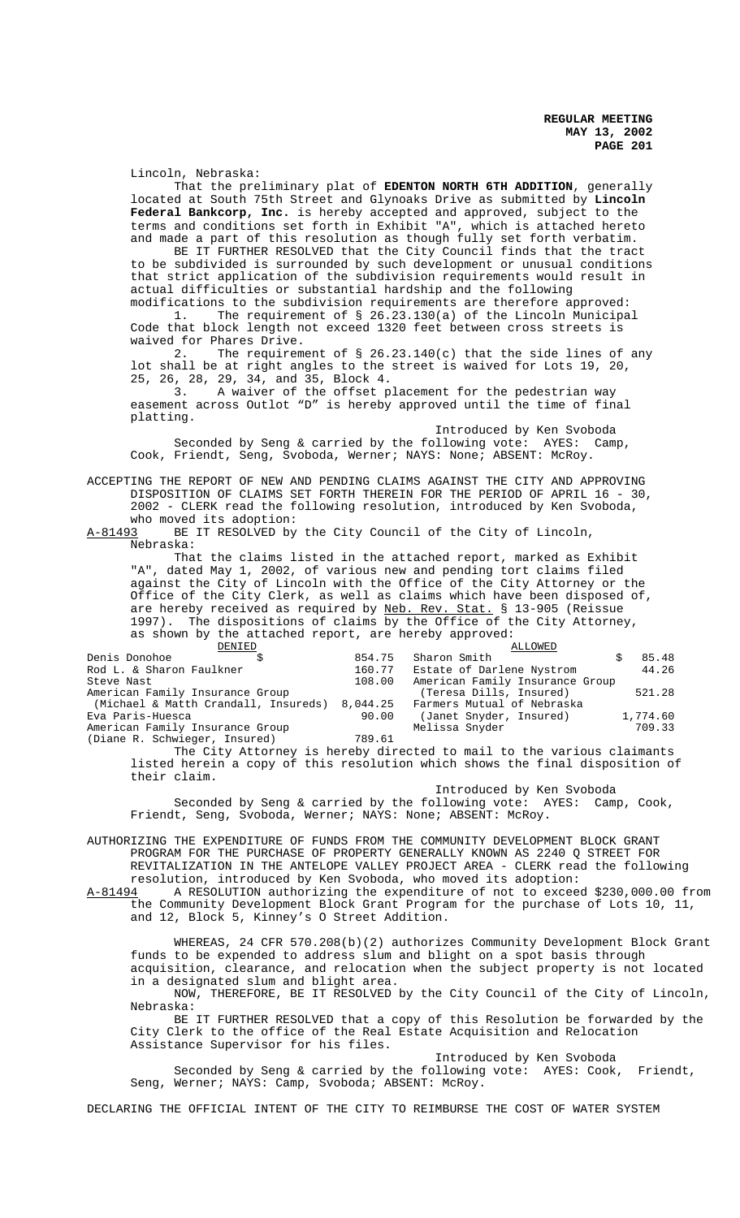Lincoln, Nebraska:

That the preliminary plat of **EDENTON NORTH 6TH ADDITION**, generally located at South 75th Street and Glynoaks Drive as submitted by **Lincoln Federal Bankcorp, Inc.** is hereby accepted and approved, subject to the terms and conditions set forth in Exhibit "A", which is attached hereto and made a part of this resolution as though fully set forth verbatim.

BE IT FURTHER RESOLVED that the City Council finds that the tract to be subdivided is surrounded by such development or unusual conditions that strict application of the subdivision requirements would result in actual difficulties or substantial hardship and the following modifications to the subdivision requirements are therefore approved:

1. The requirement of § 26.23.130(a) of the Lincoln Municipal Code that block length not exceed 1320 feet between cross streets is waived for Phares Drive.<br>2. The requirement

The requirement of § 26.23.140(c) that the side lines of any lot shall be at right angles to the street is waived for Lots 19, 20, 25, 26, 28, 29, 34, and 35, Block 4.

3. A waiver of the offset placement for the pedestrian way easement across Outlot "D" is hereby approved until the time of final platting.

Introduced by Ken Svoboda Seconded by Seng & carried by the following vote: AYES: Camp, Cook, Friendt, Seng, Svoboda, Werner; NAYS: None; ABSENT: McRoy.

ACCEPTING THE REPORT OF NEW AND PENDING CLAIMS AGAINST THE CITY AND APPROVING DISPOSITION OF CLAIMS SET FORTH THEREIN FOR THE PERIOD OF APRIL 16 - 30, 2002 - CLERK read the following resolution, introduced by Ken Svoboda, who moved its adoption:<br>A-81493 BE IT RESOLVED by

BE IT RESOLVED by the City Council of the City of Lincoln, Nebraska:

That the claims listed in the attached report, marked as Exhibit "A", dated May 1, 2002, of various new and pending tort claims filed against the City of Lincoln with the Office of the City Attorney or the Office of the City Clerk, as well as claims which have been disposed of, are hereby received as required by Neb. Rev. Stat. § 13-905 (Reissue 1997). The dispositions of claims by the Office of the City Attorney, as shown by the attached report, are hereby approved:

| DENIED                                        |        | ALLOWED                         |          |
|-----------------------------------------------|--------|---------------------------------|----------|
| Denis Donohoe                                 | 854.75 | Sharon Smith                    | 85.48    |
| Rod L. & Sharon Faulkner                      | 160.77 | Estate of Darlene Nystrom       | 44.26    |
| Steve Nast                                    | 108.00 | American Family Insurance Group |          |
| American Family Insurance Group               |        | (Teresa Dills, Insured)         | 521.28   |
| (Michael & Matth Crandall, Insureds) 8,044.25 |        | Farmers Mutual of Nebraska      |          |
| Eva Paris-Huesca                              | 90.00  | (Janet Snyder, Insured)         | 1,774.60 |
| American Family Insurance Group               |        | Melissa Snyder                  | 709.33   |
| (Diane R. Schwieger, Insured)                 | 789.61 |                                 |          |

The City Attorney is hereby directed to mail to the various claimants listed herein a copy of this resolution which shows the final disposition of their claim.

Introduced by Ken Svoboda

Seconded by Seng & carried by the following vote: AYES: Camp, Cook, Friendt, Seng, Svoboda, Werner; NAYS: None; ABSENT: McRoy.

AUTHORIZING THE EXPENDITURE OF FUNDS FROM THE COMMUNITY DEVELOPMENT BLOCK GRANT PROGRAM FOR THE PURCHASE OF PROPERTY GENERALLY KNOWN AS 2240 Q STREET FOR REVITALIZATION IN THE ANTELOPE VALLEY PROJECT AREA - CLERK read the following resolution, introduced by Ken Svoboda, who moved its adoption:<br>A-81494 A RESOLUTION authorizing the expenditure of not to excee A RESOLUTION authorizing the expenditure of not to exceed \$230,000.00 from

the Community Development Block Grant Program for the purchase of Lots 10, 11, and 12, Block 5, Kinney's O Street Addition.

WHEREAS, 24 CFR 570.208(b)(2) authorizes Community Development Block Grant funds to be expended to address slum and blight on a spot basis through acquisition, clearance, and relocation when the subject property is not located in a designated slum and blight area.

NOW, THEREFORE, BE IT RESOLVED by the City Council of the City of Lincoln, Nebraska:

BE IT FURTHER RESOLVED that a copy of this Resolution be forwarded by the City Clerk to the office of the Real Estate Acquisition and Relocation Assistance Supervisor for his files.

Introduced by Ken Svoboda

Seconded by Seng & carried by the following vote: AYES: Cook, Friendt, Seng, Werner; NAYS: Camp, Svoboda; ABSENT: McRoy.

DECLARING THE OFFICIAL INTENT OF THE CITY TO REIMBURSE THE COST OF WATER SYSTEM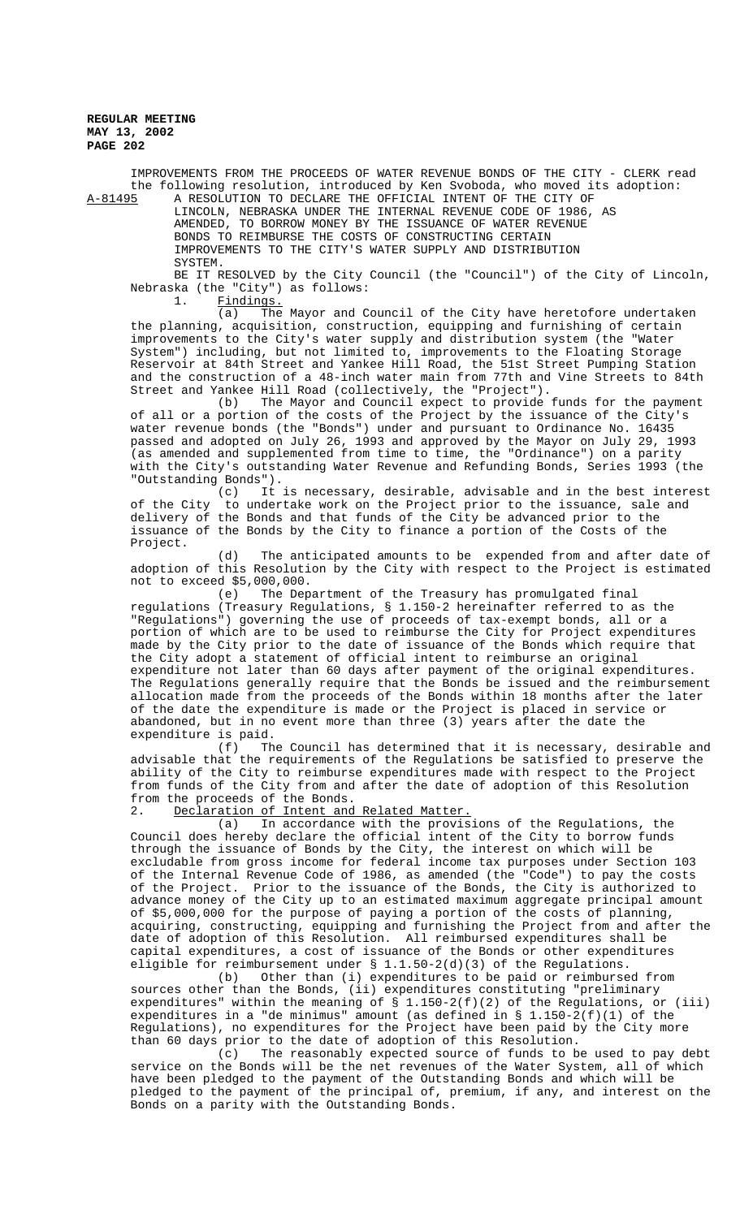IMPROVEMENTS FROM THE PROCEEDS OF WATER REVENUE BONDS OF THE CITY - CLERK read the following resolution, introduced by Ken Svoboda, who moved its adoption:<br>A-81495 A RESOLUTION TO DECLARE THE OFFICIAL INTENT OF THE CITY OF A-81495 A RESOLUTION TO DECLARE THE OFFICIAL INTENT OF THE CITY OF

LINCOLN, NEBRASKA UNDER THE INTERNAL REVENUE CODE OF 1986, AS AMENDED, TO BORROW MONEY BY THE ISSUANCE OF WATER REVENUE BONDS TO REIMBURSE THE COSTS OF CONSTRUCTING CERTAIN IMPROVEMENTS TO THE CITY'S WATER SUPPLY AND DISTRIBUTION SYSTEM.

BE IT RESOLVED by the City Council (the "Council") of the City of Lincoln, Nebraska (the "City") as follows:

1. Findings.

(a) The Mayor and Council of the City have heretofore undertaken the planning, acquisition, construction, equipping and furnishing of certain improvements to the City's water supply and distribution system (the "Water System") including, but not limited to, improvements to the Floating Storage Reservoir at 84th Street and Yankee Hill Road, the 51st Street Pumping Station and the construction of a 48-inch water main from 77th and Vine Streets to 84th Street and Yankee Hill Road (collectively, the "Project").

(b) The Mayor and Council expect to provide funds for the payment of all or a portion of the costs of the Project by the issuance of the City's water revenue bonds (the "Bonds") under and pursuant to Ordinance No. 16435 passed and adopted on July 26, 1993 and approved by the Mayor on July 29, 1993 (as amended and supplemented from time to time, the "Ordinance") on a parity with the City's outstanding Water Revenue and Refunding Bonds, Series 1993 (the "Outstanding Bonds").

(c) It is necessary, desirable, advisable and in the best interest<br>to undertake work on the Project prior to the issuance, sale and of the City to undertake work on the Project prior to the issuance, sale and delivery of the Bonds and that funds of the City be advanced prior to the issuance of the Bonds by the City to finance a portion of the Costs of the Project.

(d) The anticipated amounts to be expended from and after date of adoption of this Resolution by the City with respect to the Project is estimated not to exceed \$5,000,000.

(e) The Department of the Treasury has promulgated final regulations (Treasury Regulations, § 1.150-2 hereinafter referred to as the "Regulations") governing the use of proceeds of tax-exempt bonds, all or a portion of which are to be used to reimburse the City for Project expenditures made by the City prior to the date of issuance of the Bonds which require that the City adopt a statement of official intent to reimburse an original expenditure not later than 60 days after payment of the original expenditures. The Regulations generally require that the Bonds be issued and the reimbursement allocation made from the proceeds of the Bonds within 18 months after the later of the date the expenditure is made or the Project is placed in service or abandoned, but in no event more than three (3) years after the date the expenditure is paid.<br>(f) The

The Council has determined that it is necessary, desirable and advisable that the requirements of the Regulations be satisfied to preserve the ability of the City to reimburse expenditures made with respect to the Project from funds of the City from and after the date of adoption of this Resolution from the proceeds of the Bonds.

2. Declaration of Intent and Related Matter.<br>(a) In accordance with the provis

In accordance with the provisions of the Regulations, the Council does hereby declare the official intent of the City to borrow funds through the issuance of Bonds by the City, the interest on which will be excludable from gross income for federal income tax purposes under Section 103 of the Internal Revenue Code of 1986, as amended (the "Code") to pay the costs of the Project. Prior to the issuance of the Bonds, the City is authorized to advance money of the City up to an estimated maximum aggregate principal amount of \$5,000,000 for the purpose of paying a portion of the costs of planning, acquiring, constructing, equipping and furnishing the Project from and after the date of adoption of this Resolution. All reimbursed expenditures shall be capital expenditures, a cost of issuance of the Bonds or other expenditures eligible for reimbursement under  $\S$  1.1.50-2(d)(3) of the Regulations.<br>(b) Other than (i) expenditures to be paid or reimburse

Other than (i) expenditures to be paid or reimbursed from sources other than the Bonds, (ii) expenditures constituting "preliminary expenditures" within the meaning of  $\S$  1.150-2(f)(2) of the Regulations, or (iii) expenditures in a "de minimus" amount (as defined in § 1.150-2(f)(1) of the Regulations), no expenditures for the Project have been paid by the City more than 60 days prior to the date of adoption of this Resolution.

(c) The reasonably expected source of funds to be used to pay debt service on the Bonds will be the net revenues of the Water System, all of which have been pledged to the payment of the Outstanding Bonds and which will be pledged to the payment of the principal of, premium, if any, and interest on the Bonds on a parity with the Outstanding Bonds.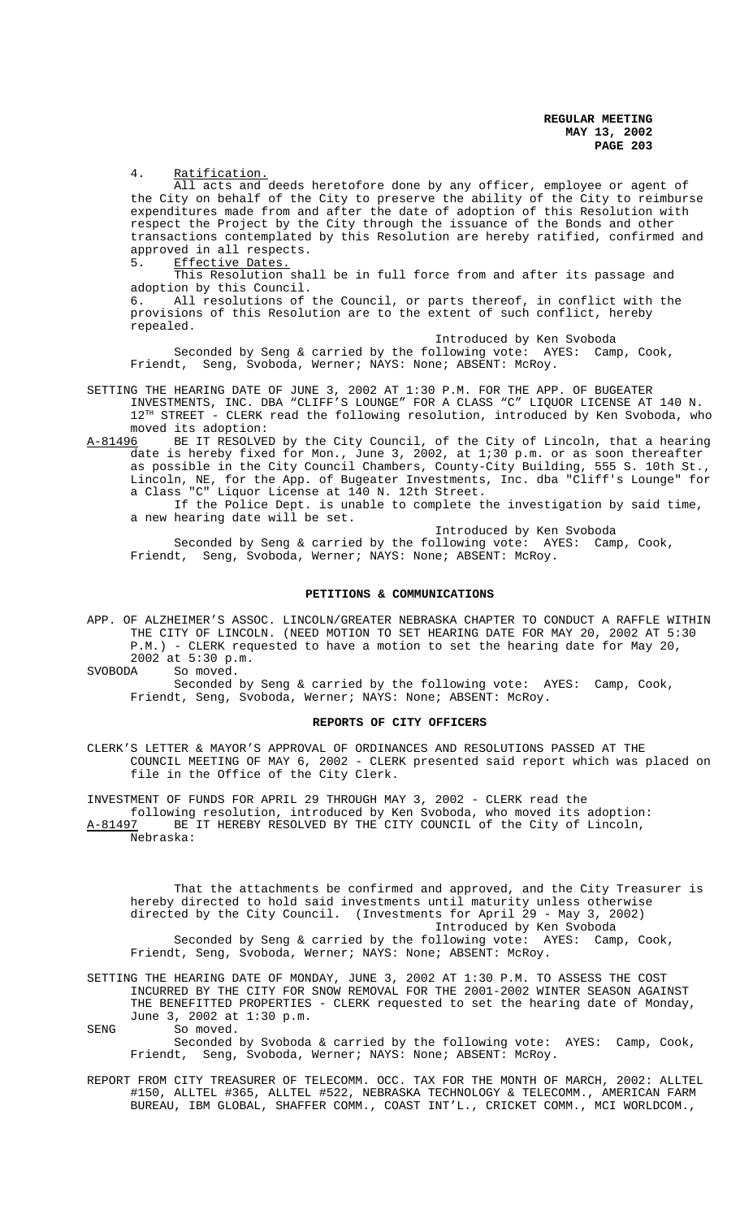4. Ratification.

All acts and deeds heretofore done by any officer, employee or agent of the City on behalf of the City to preserve the ability of the City to reimburse expenditures made from and after the date of adoption of this Resolution with respect the Project by the City through the issuance of the Bonds and other transactions contemplated by this Resolution are hereby ratified, confirmed and approved in all respects.

5. Effective Dates.

This Resolution shall be in full force from and after its passage and adoption by this Council.

6. All resolutions of the Council, or parts thereof, in conflict with the provisions of this Resolution are to the extent of such conflict, hereby repealed.

Introduced by Ken Svoboda

Seconded by Seng & carried by the following vote: AYES: Camp, Cook, Friendt, Seng, Svoboda, Werner; NAYS: None; ABSENT: McRoy.

- SETTING THE HEARING DATE OF JUNE 3, 2002 AT 1:30 P.M. FOR THE APP. OF BUGEATER INVESTMENTS, INC. DBA "CLIFF'S LOUNGE" FOR A CLASS "C" LIQUOR LICENSE AT 140 N.  $12^{TH}$  STREET - CLERK read the following resolution, introduced by Ken Svoboda, who moved its adoption:<br>A-81496 BE IT RESOLVE
- BE IT RESOLVED by the City Council, of the City of Lincoln, that a hearing date is hereby fixed for Mon., June 3, 2002, at 1;30 p.m. or as soon thereafter as possible in the City Council Chambers, County-City Building, 555 S. 10th St., Lincoln, NE, for the App. of Bugeater Investments, Inc. dba "Cliff's Lounge" for a Class "C" Liquor License at 140 N. 12th Street. If the Police Dept. is unable to complete the investigation by said time,

a new hearing date will be set.

Introduced by Ken Svoboda Seconded by Seng & carried by the following vote: AYES: Camp, Cook, Friendt, Seng, Svoboda, Werner; NAYS: None; ABSENT: McRoy.

#### **PETITIONS & COMMUNICATIONS**

APP. OF ALZHEIMER'S ASSOC. LINCOLN/GREATER NEBRASKA CHAPTER TO CONDUCT A RAFFLE WITHIN THE CITY OF LINCOLN. (NEED MOTION TO SET HEARING DATE FOR MAY 20, 2002 AT 5:30 P.M.) - CLERK requested to have a motion to set the hearing date for May 20,  $2002$  at  $5:30$  p.m.<br>SVOBODA So moved.

So moved.

Seconded by Seng & carried by the following vote: AYES: Camp, Cook, Friendt, Seng, Svoboda, Werner; NAYS: None; ABSENT: McRoy.

### **REPORTS OF CITY OFFICERS**

CLERK'S LETTER & MAYOR'S APPROVAL OF ORDINANCES AND RESOLUTIONS PASSED AT THE COUNCIL MEETING OF MAY 6, 2002 - CLERK presented said report which was placed on file in the Office of the City Clerk.

INVESTMENT OF FUNDS FOR APRIL 29 THROUGH MAY 3, 2002 - CLERK read the following resolution, introduced by Ken Svoboda, who moved its adoption: A-81497 BE IT HEREBY RESOLVED BY THE CITY COUNCIL of the City of Lincoln, Nebraska:

That the attachments be confirmed and approved, and the City Treasurer is hereby directed to hold said investments until maturity unless otherwise directed by the City Council. (Investments for April 29 - May 3, 2002) Introduced by Ken Svoboda Seconded by Seng & carried by the following vote: AYES: Camp, Cook, Friendt, Seng, Svoboda, Werner; NAYS: None; ABSENT: McRoy.

SETTING THE HEARING DATE OF MONDAY, JUNE 3, 2002 AT 1:30 P.M. TO ASSESS THE COST INCURRED BY THE CITY FOR SNOW REMOVAL FOR THE 2001-2002 WINTER SEASON AGAINST THE BENEFITTED PROPERTIES - CLERK requested to set the hearing date of Monday, June 3, 2002 at 1:30 p.m.

SENG So moved.

Seconded by Svoboda & carried by the following vote: AYES: Camp, Cook, Friendt, Seng, Svoboda, Werner; NAYS: None; ABSENT: McRoy.

REPORT FROM CITY TREASURER OF TELECOMM. OCC. TAX FOR THE MONTH OF MARCH, 2002: ALLTEL #150, ALLTEL #365, ALLTEL #522, NEBRASKA TECHNOLOGY & TELECOMM., AMERICAN FARM BUREAU, IBM GLOBAL, SHAFFER COMM., COAST INT'L., CRICKET COMM., MCI WORLDCOM.,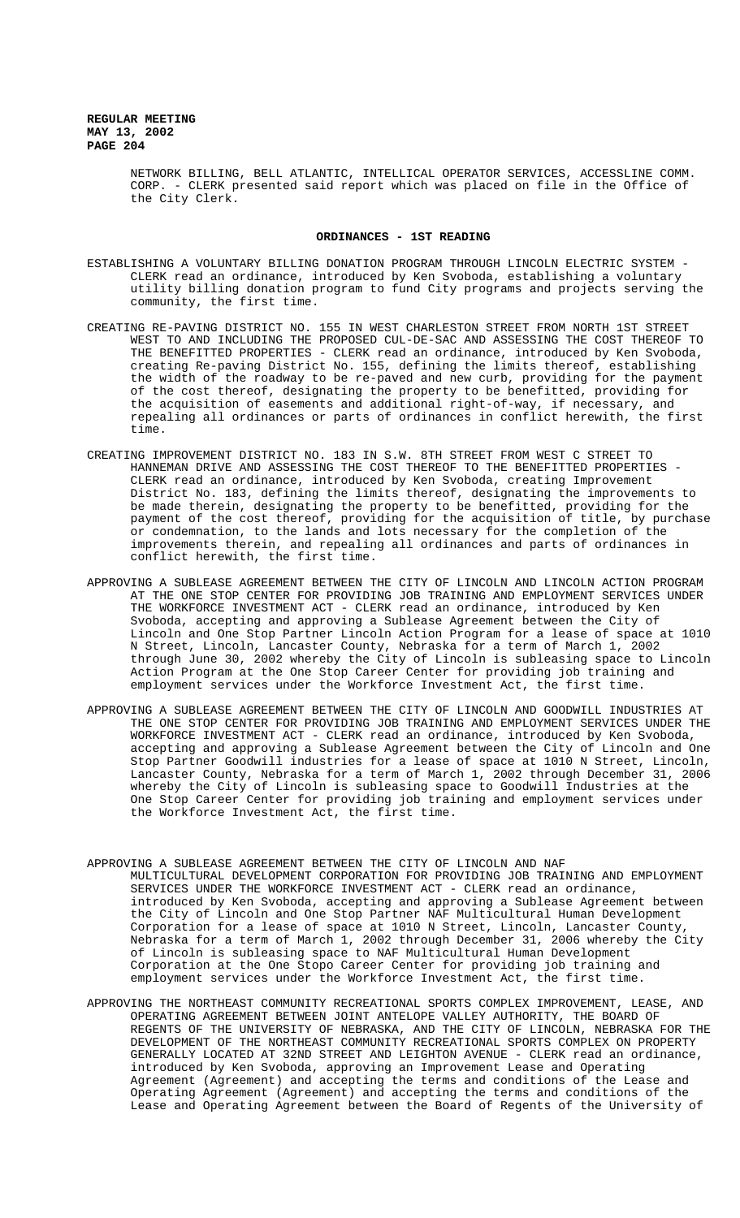> NETWORK BILLING, BELL ATLANTIC, INTELLICAL OPERATOR SERVICES, ACCESSLINE COMM. CORP. - CLERK presented said report which was placed on file in the Office of the City Clerk.

#### **ORDINANCES - 1ST READING**

- ESTABLISHING A VOLUNTARY BILLING DONATION PROGRAM THROUGH LINCOLN ELECTRIC SYSTEM CLERK read an ordinance, introduced by Ken Svoboda, establishing a voluntary utility billing donation program to fund City programs and projects serving the community, the first time.
- CREATING RE-PAVING DISTRICT NO. 155 IN WEST CHARLESTON STREET FROM NORTH 1ST STREET WEST TO AND INCLUDING THE PROPOSED CUL-DE-SAC AND ASSESSING THE COST THEREOF TO THE BENEFITTED PROPERTIES - CLERK read an ordinance, introduced by Ken Svoboda, creating Re-paving District No. 155, defining the limits thereof, establishing the width of the roadway to be re-paved and new curb, providing for the payment of the cost thereof, designating the property to be benefitted, providing for the acquisition of easements and additional right-of-way, if necessary, and repealing all ordinances or parts of ordinances in conflict herewith, the first time.
- CREATING IMPROVEMENT DISTRICT NO. 183 IN S.W. 8TH STREET FROM WEST C STREET TO HANNEMAN DRIVE AND ASSESSING THE COST THEREOF TO THE BENEFITTED PROPERTIES - CLERK read an ordinance, introduced by Ken Svoboda, creating Improvement District No. 183, defining the limits thereof, designating the improvements to be made therein, designating the property to be benefitted, providing for the payment of the cost thereof, providing for the acquisition of title, by purchase or condemnation, to the lands and lots necessary for the completion of the improvements therein, and repealing all ordinances and parts of ordinances in conflict herewith, the first time.
- APPROVING A SUBLEASE AGREEMENT BETWEEN THE CITY OF LINCOLN AND LINCOLN ACTION PROGRAM AT THE ONE STOP CENTER FOR PROVIDING JOB TRAINING AND EMPLOYMENT SERVICES UNDER THE WORKFORCE INVESTMENT ACT - CLERK read an ordinance, introduced by Ken Svoboda, accepting and approving a Sublease Agreement between the City of Lincoln and One Stop Partner Lincoln Action Program for a lease of space at 1010 N Street, Lincoln, Lancaster County, Nebraska for a term of March 1, 2002 through June 30, 2002 whereby the City of Lincoln is subleasing space to Lincoln Action Program at the One Stop Career Center for providing job training and employment services under the Workforce Investment Act, the first time.
- APPROVING A SUBLEASE AGREEMENT BETWEEN THE CITY OF LINCOLN AND GOODWILL INDUSTRIES AT THE ONE STOP CENTER FOR PROVIDING JOB TRAINING AND EMPLOYMENT SERVICES UNDER THE WORKFORCE INVESTMENT ACT - CLERK read an ordinance, introduced by Ken Svoboda, accepting and approving a Sublease Agreement between the City of Lincoln and One Stop Partner Goodwill industries for a lease of space at 1010 N Street, Lincoln, Lancaster County, Nebraska for a term of March 1, 2002 through December 31, 2006 whereby the City of Lincoln is subleasing space to Goodwill Industries at the One Stop Career Center for providing job training and employment services under the Workforce Investment Act, the first time.
- APPROVING A SUBLEASE AGREEMENT BETWEEN THE CITY OF LINCOLN AND NAF MULTICULTURAL DEVELOPMENT CORPORATION FOR PROVIDING JOB TRAINING AND EMPLOYMENT SERVICES UNDER THE WORKFORCE INVESTMENT ACT - CLERK read an ordinance, introduced by Ken Svoboda, accepting and approving a Sublease Agreement between the City of Lincoln and One Stop Partner NAF Multicultural Human Development Corporation for a lease of space at 1010 N Street, Lincoln, Lancaster County, Nebraska for a term of March 1, 2002 through December 31, 2006 whereby the City of Lincoln is subleasing space to NAF Multicultural Human Development Corporation at the One Stopo Career Center for providing job training and employment services under the Workforce Investment Act, the first time.
- APPROVING THE NORTHEAST COMMUNITY RECREATIONAL SPORTS COMPLEX IMPROVEMENT, LEASE, AND OPERATING AGREEMENT BETWEEN JOINT ANTELOPE VALLEY AUTHORITY, THE BOARD OF REGENTS OF THE UNIVERSITY OF NEBRASKA, AND THE CITY OF LINCOLN, NEBRASKA FOR THE DEVELOPMENT OF THE NORTHEAST COMMUNITY RECREATIONAL SPORTS COMPLEX ON PROPERTY GENERALLY LOCATED AT 32ND STREET AND LEIGHTON AVENUE - CLERK read an ordinance, introduced by Ken Svoboda, approving an Improvement Lease and Operating Agreement (Agreement) and accepting the terms and conditions of the Lease and Operating Agreement (Agreement) and accepting the terms and conditions of the Lease and Operating Agreement between the Board of Regents of the University of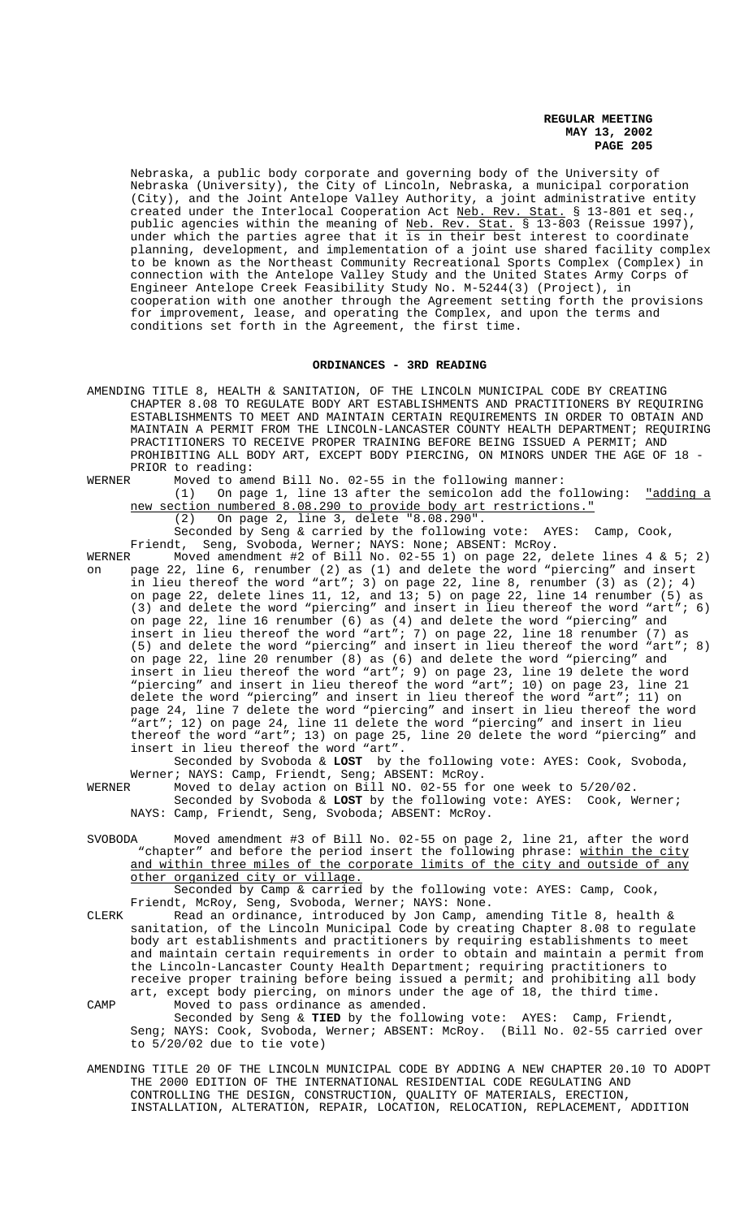Nebraska, a public body corporate and governing body of the University of Nebraska (University), the City of Lincoln, Nebraska, a municipal corporation (City), and the Joint Antelope Valley Authority, a joint administrative entity created under the Interlocal Cooperation Act Neb. Rev. Stat. § 13-801 et seq., public agencies within the meaning of <u>Neb. Rev. Stat.</u> § 13-803 (Reissue 1997), under which the parties agree that it is in their best interest to coordinate planning, development, and implementation of a joint use shared facility complex to be known as the Northeast Community Recreational Sports Complex (Complex) in connection with the Antelope Valley Study and the United States Army Corps of Engineer Antelope Creek Feasibility Study No. M-5244(3) (Project), in cooperation with one another through the Agreement setting forth the provisions for improvement, lease, and operating the Complex, and upon the terms and conditions set forth in the Agreement, the first time.

### **ORDINANCES - 3RD READING**

- AMENDING TITLE 8, HEALTH & SANITATION, OF THE LINCOLN MUNICIPAL CODE BY CREATING CHAPTER 8.08 TO REGULATE BODY ART ESTABLISHMENTS AND PRACTITIONERS BY REQUIRING ESTABLISHMENTS TO MEET AND MAINTAIN CERTAIN REQUIREMENTS IN ORDER TO OBTAIN AND MAINTAIN A PERMIT FROM THE LINCOLN-LANCASTER COUNTY HEALTH DEPARTMENT; REQUIRING PRACTITIONERS TO RECEIVE PROPER TRAINING BEFORE BEING ISSUED A PERMIT; AND PROHIBITING ALL BODY ART, EXCEPT BODY PIERCING, ON MINORS UNDER THE AGE OF 18 -PRIOR to reading:
- WERNER Moved to amend Bill No. 02-55 in the following manner:

(1) On page 1, line 13 after the semicolon add the following: "adding a new section numbered 8.08.290 to provide body art restrictions."

(2) On page 2, line 3, delete "8.08.290".

Seconded by Seng & carried by the following vote: AYES: Camp, Cook, Friendt, Seng, Svoboda, Werner; NAYS: None; ABSENT: McRoy.

WERNER Moved amendment #2 of Bill No. 02-55 1) on page 22, delete lines 4 & 5; 2) on page 22, line 6, renumber (2) as (1) and delete the word "piercing" and insert in lieu thereof the word "art"; 3) on page 22, line 8, renumber (3) as  $(2)$ ; 4) on page 22, delete lines 11, 12, and 13; 5) on page 22, line 14 renumber (5) as (3) and delete the word "piercing" and insert in lieu thereof the word "art"; 6) on page 22, line 16 renumber (6) as (4) and delete the word "piercing" and insert in lieu thereof the word "art"; 7) on page 22, line 18 renumber (7) as (5) and delete the word "piercing" and insert in lieu thereof the word "art"; 8) on page 22, line 20 renumber (8) as (6) and delete the word "piercing" and insert in lieu thereof the word "art"; 9) on page 23, line 19 delete the word "piercing" and insert in lieu thereof the word "art"; 10) on page 23, line 21 delete the word "piercing" and insert in lieu thereof the word "art"; 11) on page 24, line 7 delete the word "piercing" and insert in lieu thereof the word "art"; 12) on page 24, line 11 delete the word "piercing" and insert in lieu thereof the word "art"; 13) on page 25, line 20 delete the word "piercing" and insert in lieu thereof the word "art".

Seconded by Svoboda & **LOST** by the following vote: AYES: Cook, Svoboda, Werner; NAYS: Camp, Friendt, Seng; ABSENT: McRoy.<br>WERNER Moved to delay action on Bill NO. 02-55 for

- Moved to delay action on Bill NO. 02-55 for one week to 5/20/02. Seconded by Svoboda & **LOST** by the following vote: AYES: Cook, Werner; NAYS: Camp, Friendt, Seng, Svoboda; ABSENT: McRoy.
- SVOBODA Moved amendment #3 of Bill No. 02-55 on page 2, line 21, after the word "chapter" and before the period insert the following phrase: within the city and within three miles of the corporate limits of the city and outside of any other organized city or village.

Seconded by Camp & carried by the following vote: AYES: Camp, Cook, Friendt, McRoy, Seng, Svoboda, Werner; NAYS: None.

- CLERK Read an ordinance, introduced by Jon Camp, amending Title 8, health  $\&$ sanitation, of the Lincoln Municipal Code by creating Chapter 8.08 to regulate body art establishments and practitioners by requiring establishments to meet and maintain certain requirements in order to obtain and maintain a permit from the Lincoln-Lancaster County Health Department; requiring practitioners to receive proper training before being issued a permit; and prohibiting all body art, except body piercing, on minors under the age of 18, the third time.
- CAMP Moved to pass ordinance as amended. Seconded by Seng & **TIED** by the following vote: AYES: Camp, Friendt, Seng; NAYS: Cook, Svoboda, Werner; ABSENT: McRoy. (Bill No. 02-55 carried over to 5/20/02 due to tie vote)
- AMENDING TITLE 20 OF THE LINCOLN MUNICIPAL CODE BY ADDING A NEW CHAPTER 20.10 TO ADOPT THE 2000 EDITION OF THE INTERNATIONAL RESIDENTIAL CODE REGULATING AND CONTROLLING THE DESIGN, CONSTRUCTION, QUALITY OF MATERIALS, ERECTION, INSTALLATION, ALTERATION, REPAIR, LOCATION, RELOCATION, REPLACEMENT, ADDITION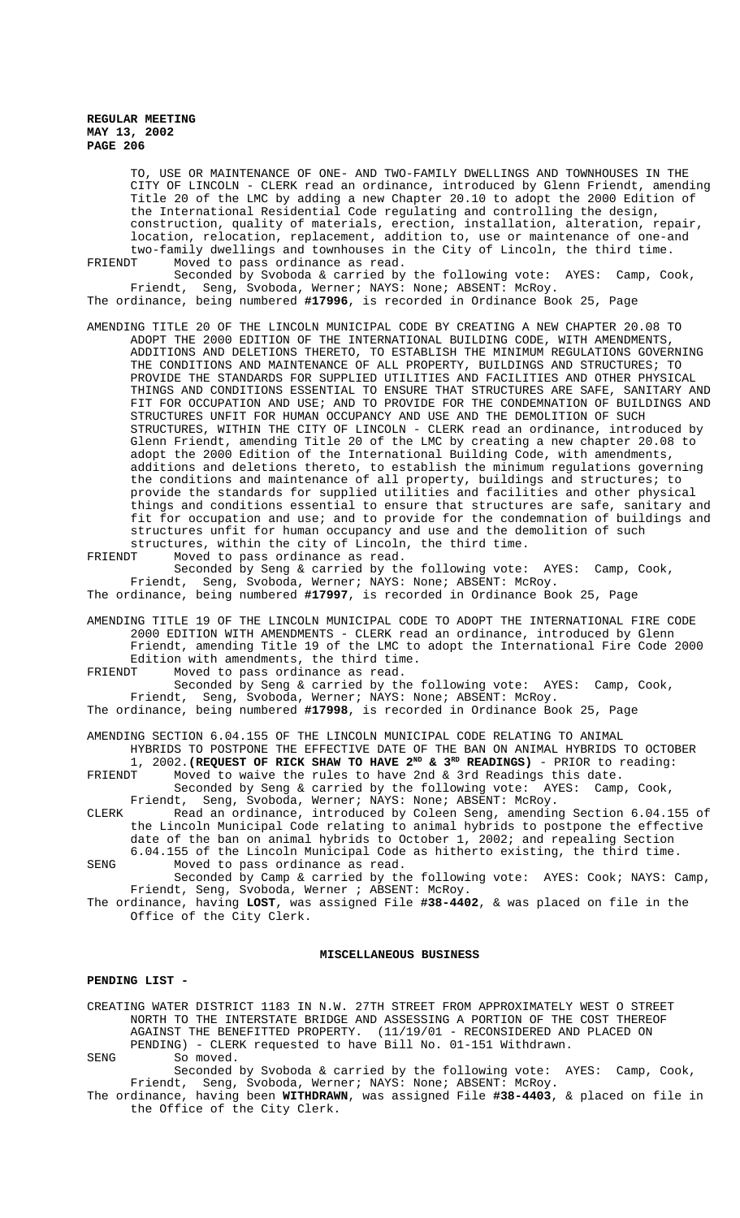TO, USE OR MAINTENANCE OF ONE- AND TWO-FAMILY DWELLINGS AND TOWNHOUSES IN THE CITY OF LINCOLN - CLERK read an ordinance, introduced by Glenn Friendt, amending Title 20 of the LMC by adding a new Chapter 20.10 to adopt the 2000 Edition of the International Residential Code regulating and controlling the design, construction, quality of materials, erection, installation, alteration, repair, location, relocation, replacement, addition to, use or maintenance of one-and two-family dwellings and townhouses in the City of Lincoln, the third time. FRIENDT Moved to pass ordinance as read.

Seconded by Svoboda & carried by the following vote: AYES: Camp, Cook, Friendt, Seng, Svoboda, Werner; NAYS: None; ABSENT: McRoy. The ordinance, being numbered **#17996**, is recorded in Ordinance Book 25, Page

AMENDING TITLE 20 OF THE LINCOLN MUNICIPAL CODE BY CREATING A NEW CHAPTER 20.08 TO ADOPT THE 2000 EDITION OF THE INTERNATIONAL BUILDING CODE, WITH AMENDMENTS, ADDITIONS AND DELETIONS THERETO, TO ESTABLISH THE MINIMUM REGULATIONS GOVERNING THE CONDITIONS AND MAINTENANCE OF ALL PROPERTY, BUILDINGS AND STRUCTURES; TO PROVIDE THE STANDARDS FOR SUPPLIED UTILITIES AND FACILITIES AND OTHER PHYSICAL THINGS AND CONDITIONS ESSENTIAL TO ENSURE THAT STRUCTURES ARE SAFE, SANITARY AND FIT FOR OCCUPATION AND USE; AND TO PROVIDE FOR THE CONDEMNATION OF BUILDINGS AND STRUCTURES UNFIT FOR HUMAN OCCUPANCY AND USE AND THE DEMOLITION OF SUCH STRUCTURES, WITHIN THE CITY OF LINCOLN - CLERK read an ordinance, introduced by Glenn Friendt, amending Title 20 of the LMC by creating a new chapter 20.08 to adopt the 2000 Edition of the International Building Code, with amendments, additions and deletions thereto, to establish the minimum regulations governing the conditions and maintenance of all property, buildings and structures; to provide the standards for supplied utilities and facilities and other physical things and conditions essential to ensure that structures are safe, sanitary and fit for occupation and use; and to provide for the condemnation of buildings and structures unfit for human occupancy and use and the demolition of such

structures, within the city of Lincoln, the third time.<br>FRIENDT Moved to pass ordinance as read. Moved to pass ordinance as read.

Seconded by Seng & carried by the following vote: AYES: Camp, Cook, Friendt, Seng, Svoboda, Werner; NAYS: None; ABSENT: McRoy.

The ordinance, being numbered **#17997**, is recorded in Ordinance Book 25, Page

AMENDING TITLE 19 OF THE LINCOLN MUNICIPAL CODE TO ADOPT THE INTERNATIONAL FIRE CODE 2000 EDITION WITH AMENDMENTS - CLERK read an ordinance, introduced by Glenn Friendt, amending Title 19 of the LMC to adopt the International Fire Code 2000 Edition with amendments, the third time. FRIENDT Moved to pass ordinance as read.

Seconded by Seng & carried by the following vote: AYES: Camp, Cook, Friendt, Seng, Svoboda, Werner; NAYS: None; ABSENT: McRoy.

The ordinance, being numbered **#17998**, is recorded in Ordinance Book 25, Page

AMENDING SECTION 6.04.155 OF THE LINCOLN MUNICIPAL CODE RELATING TO ANIMAL HYBRIDS TO POSTPONE THE EFFECTIVE DATE OF THE BAN ON ANIMAL HYBRIDS TO OCTOBER 1, 2002. (REQUEST OF RICK SHAW TO HAVE  $2^{ND}$  &  $3^{RD}$  READINGS) - PRIOR to reading:

FRIENDT Moved to waive the rules to have 2nd & 3rd Readings this date. Seconded by Seng & carried by the following vote: AYES: Camp, Cook,

Friendt, Seng, Svoboda, Werner; NAYS: None; ABSENT: McRoy. CLERK Read an ordinance, introduced by Coleen Seng, amending Section 6.04.155 of the Lincoln Municipal Code relating to animal hybrids to postpone the effective date of the ban on animal hybrids to October 1, 2002; and repealing Section 6.04.155 of the Lincoln Municipal Code as hitherto existing, the third time.

SENG Moved to pass ordinance as read. Seconded by Camp & carried by the following vote: AYES: Cook; NAYS: Camp,

Friendt, Seng, Svoboda, Werner ; ABSENT: McRoy. The ordinance, having **LOST**, was assigned File **#38-4402**, & was placed on file in the

Office of the City Clerk.

### **MISCELLANEOUS BUSINESS**

#### **PENDING LIST -**

CREATING WATER DISTRICT 1183 IN N.W. 27TH STREET FROM APPROXIMATELY WEST O STREET NORTH TO THE INTERSTATE BRIDGE AND ASSESSING A PORTION OF THE COST THEREOF AGAINST THE BENEFITTED PROPERTY. (11/19/01 - RECONSIDERED AND PLACED ON PENDING) - CLERK requested to have Bill No. 01-151 Withdrawn.

SENG So moved.

Seconded by Svoboda & carried by the following vote: AYES: Camp, Cook, Friendt, Seng, Svoboda, Werner; NAYS: None; ABSENT: McRoy.

The ordinance, having been **WITHDRAWN**, was assigned File **#38-4403**, & placed on file in the Office of the City Clerk.